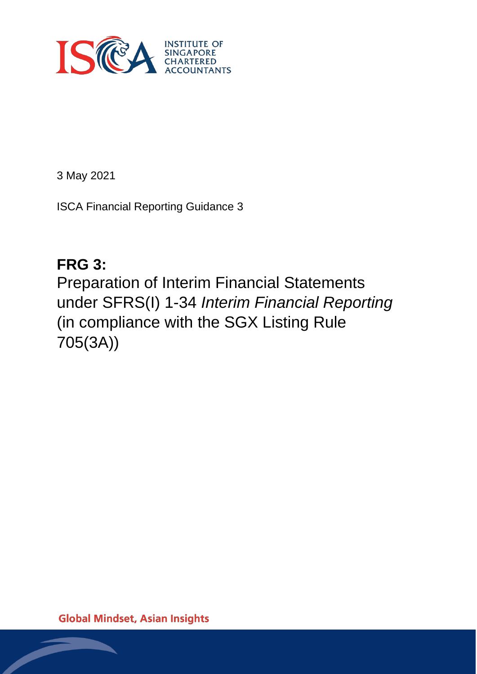

3 May 2021

ISCA Financial Reporting Guidance 3

# **FRG 3:**

Preparation of Interim Financial Statements under SFRS(I) 1-34 *Interim Financial Reporting* (in compliance with the SGX Listing Rule 705(3A))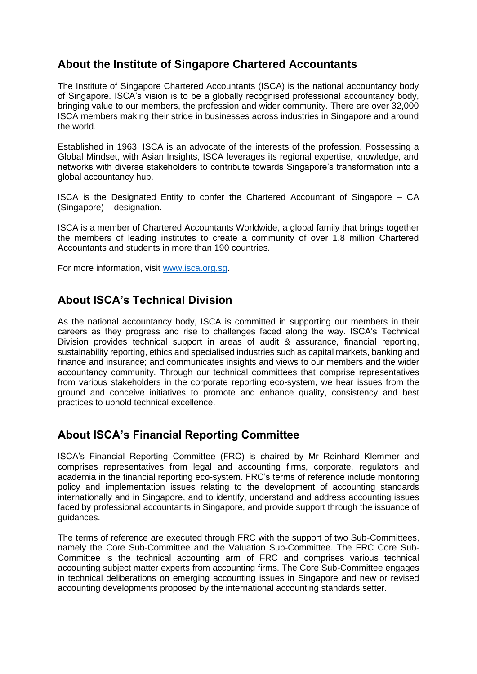### **About the Institute of Singapore Chartered Accountants**

The Institute of Singapore Chartered Accountants (ISCA) is the national accountancy body of Singapore. ISCA's vision is to be a globally recognised professional accountancy body, bringing value to our members, the profession and wider community. There are over 32,000 ISCA members making their stride in businesses across industries in Singapore and around the world.

Established in 1963, ISCA is an advocate of the interests of the profession. Possessing a Global Mindset, with Asian Insights, ISCA leverages its regional expertise, knowledge, and networks with diverse stakeholders to contribute towards Singapore's transformation into a global accountancy hub.

ISCA is the Designated Entity to confer the Chartered Accountant of Singapore – CA (Singapore) – designation.

ISCA is a member of Chartered Accountants Worldwide, a global family that brings together the members of leading institutes to create a community of over 1.8 million Chartered Accountants and students in more than 190 countries.

For more information, visit [www.isca.org.sg.](http://www.isca.org.sg/)

### **About ISCA's Technical Division**

As the national accountancy body, ISCA is committed in supporting our members in their careers as they progress and rise to challenges faced along the way. ISCA's Technical Division provides technical support in areas of audit & assurance, financial reporting, sustainability reporting, ethics and specialised industries such as capital markets, banking and finance and insurance; and communicates insights and views to our members and the wider accountancy community. Through our technical committees that comprise representatives from various stakeholders in the corporate reporting eco-system, we hear issues from the ground and conceive initiatives to promote and enhance quality, consistency and best practices to uphold technical excellence.

### **About ISCA's Financial Reporting Committee**

ISCA's Financial Reporting Committee (FRC) is chaired by Mr Reinhard Klemmer and comprises representatives from legal and accounting firms, corporate, regulators and academia in the financial reporting eco-system. FRC's terms of reference include monitoring policy and implementation issues relating to the development of accounting standards internationally and in Singapore, and to identify, understand and address accounting issues faced by professional accountants in Singapore, and provide support through the issuance of guidances.

The terms of reference are executed through FRC with the support of two Sub-Committees, namely the Core Sub-Committee and the Valuation Sub-Committee. The FRC Core Sub-Committee is the technical accounting arm of FRC and comprises various technical accounting subject matter experts from accounting firms. The Core Sub-Committee engages in technical deliberations on emerging accounting issues in Singapore and new or revised accounting developments proposed by the international accounting standards setter.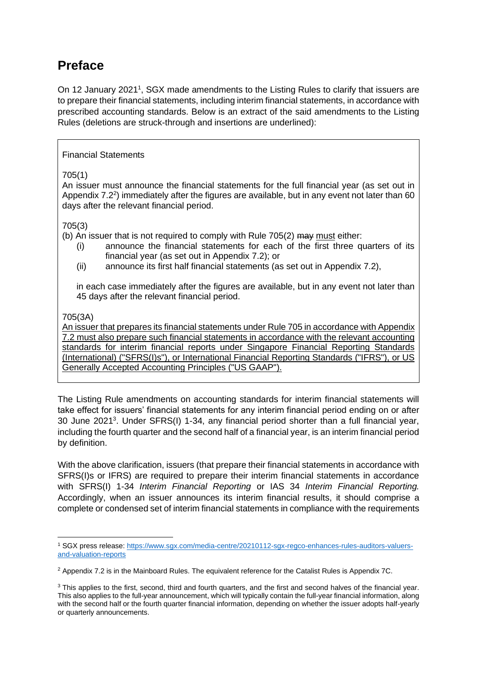### **Preface**

On 12 January 2021<sup>1</sup>, SGX made amendments to the Listing Rules to clarify that issuers are to prepare their financial statements, including interim financial statements, in accordance with prescribed accounting standards. Below is an extract of the said amendments to the Listing Rules (deletions are struck-through and insertions are underlined):

#### Financial Statements

#### 705(1)

An issuer must announce the financial statements for the full financial year (as set out in Appendix 7.2<sup>2</sup>) immediately after the figures are available, but in any event not later than 60 days after the relevant financial period.

#### 705(3)

(b) An issuer that is not required to comply with Rule  $705(2)$  may must either:

- (i) announce the financial statements for each of the first three quarters of its financial year (as set out in Appendix 7.2); or
- (ii) announce its first half financial statements (as set out in Appendix 7.2),

in each case immediately after the figures are available, but in any event not later than 45 days after the relevant financial period.

#### 705(3A)

An issuer that prepares its financial statements under Rule 705 in accordance with Appendix 7.2 must also prepare such financial statements in accordance with the relevant accounting standards for interim financial reports under Singapore Financial Reporting Standards (International) ("SFRS(I)s"), or International Financial Reporting Standards ("IFRS"), or US Generally Accepted Accounting Principles ("US GAAP").

The Listing Rule amendments on accounting standards for interim financial statements will take effect for issuers' financial statements for any interim financial period ending on or after 30 June 2021<sup>3</sup> . Under SFRS(I) 1-34, any financial period shorter than a full financial year, including the fourth quarter and the second half of a financial year, is an interim financial period by definition.

With the above clarification, issuers (that prepare their financial statements in accordance with SFRS(I)s or IFRS) are required to prepare their interim financial statements in accordance with SFRS(I) 1-34 *Interim Financial Reporting* or IAS 34 *Interim Financial Reporting.* Accordingly, when an issuer announces its interim financial results, it should comprise a complete or condensed set of interim financial statements in compliance with the requirements

<sup>1</sup> SGX press release: [https://www.sgx.com/media-centre/20210112-sgx-regco-enhances-rules-auditors-valuers](https://www.sgx.com/media-centre/20210112-sgx-regco-enhances-rules-auditors-valuers-and-valuation-reports)[and-valuation-reports](https://www.sgx.com/media-centre/20210112-sgx-regco-enhances-rules-auditors-valuers-and-valuation-reports)

<sup>&</sup>lt;sup>2</sup> Appendix 7.2 is in the Mainboard Rules. The equivalent reference for the Catalist Rules is Appendix 7C.

<sup>&</sup>lt;sup>3</sup> This applies to the first, second, third and fourth quarters, and the first and second halves of the financial year. This also applies to the full-year announcement, which will typically contain the full-year financial information, along with the second half or the fourth quarter financial information, depending on whether the issuer adopts half-yearly or quarterly announcements.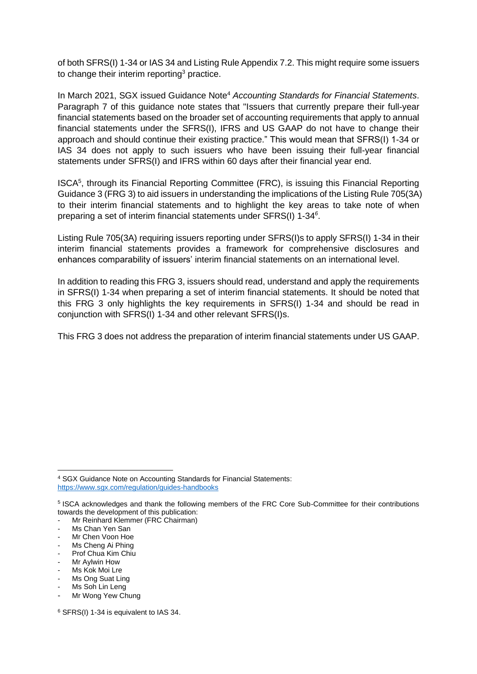of both SFRS(I) 1-34 or IAS 34 and Listing Rule Appendix 7.2. This might require some issuers to change their interim reporting<sup>3</sup> practice.

In March 2021, SGX issued Guidance Note<sup>4</sup> *Accounting Standards for Financial Statements*. Paragraph 7 of this guidance note states that "Issuers that currently prepare their full-year financial statements based on the broader set of accounting requirements that apply to annual financial statements under the SFRS(I), IFRS and US GAAP do not have to change their approach and should continue their existing practice." This would mean that SFRS(I) 1-34 or IAS 34 does not apply to such issuers who have been issuing their full-year financial statements under SFRS(I) and IFRS within 60 days after their financial year end.

ISCA<sup>5</sup> , through its Financial Reporting Committee (FRC), is issuing this Financial Reporting Guidance 3 (FRG 3) to aid issuers in understanding the implications of the Listing Rule 705(3A) to their interim financial statements and to highlight the key areas to take note of when preparing a set of interim financial statements under SFRS(I) 1-34*<sup>6</sup>* .

Listing Rule 705(3A) requiring issuers reporting under SFRS(I) to apply SFRS(I) 1-34 in their interim financial statements provides a framework for comprehensive disclosures and enhances comparability of issuers' interim financial statements on an international level.

In addition to reading this FRG 3, issuers should read, understand and apply the requirements in SFRS(I) 1-34 when preparing a set of interim financial statements. It should be noted that this FRG 3 only highlights the key requirements in SFRS(I) 1-34 and should be read in conjunction with SFRS(I) 1-34 and other relevant SFRS(I)s.

This FRG 3 does not address the preparation of interim financial statements under US GAAP.

<sup>4</sup> SGX Guidance Note on Accounting Standards for Financial Statements: <https://www.sgx.com/regulation/guides-handbooks>

<sup>5</sup> ISCA acknowledges and thank the following members of the FRC Core Sub-Committee for their contributions towards the development of this publication:

Mr Reinhard Klemmer (FRC Chairman)

Ms Chan Yen San

<sup>-</sup> Mr Chen Voon Hoe

<sup>-</sup> Ms Cheng Ai Phing

Prof Chua Kim Chiu

Mr Aylwin How

Ms Kok Moi Lre

<sup>-</sup> Ms Ong Suat Ling

<sup>-</sup> Ms Soh Lin Leng

<sup>-</sup> Mr Wong Yew Chung

<sup>6</sup> SFRS(I) 1-34 is equivalent to IAS 34.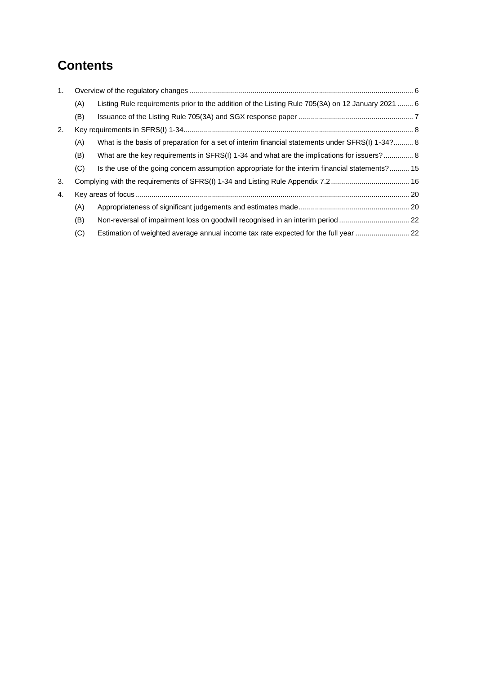## **Contents**

| 1. |     |                                                                                                   |  |  |  |  |
|----|-----|---------------------------------------------------------------------------------------------------|--|--|--|--|
|    | (A) | Listing Rule requirements prior to the addition of the Listing Rule 705(3A) on 12 January 2021  6 |  |  |  |  |
|    | (B) |                                                                                                   |  |  |  |  |
| 2. |     |                                                                                                   |  |  |  |  |
|    | (A) | What is the basis of preparation for a set of interim financial statements under SFRS(I) 1-34?8   |  |  |  |  |
|    | (B) | What are the key requirements in SFRS(I) 1-34 and what are the implications for issuers? 8        |  |  |  |  |
|    | (C) | Is the use of the going concern assumption appropriate for the interim financial statements?15    |  |  |  |  |
| 3. |     |                                                                                                   |  |  |  |  |
| 4. |     |                                                                                                   |  |  |  |  |
|    | (A) |                                                                                                   |  |  |  |  |
|    | (B) | Non-reversal of impairment loss on goodwill recognised in an interim period 22                    |  |  |  |  |
|    | (C) | Estimation of weighted average annual income tax rate expected for the full year 22               |  |  |  |  |
|    |     |                                                                                                   |  |  |  |  |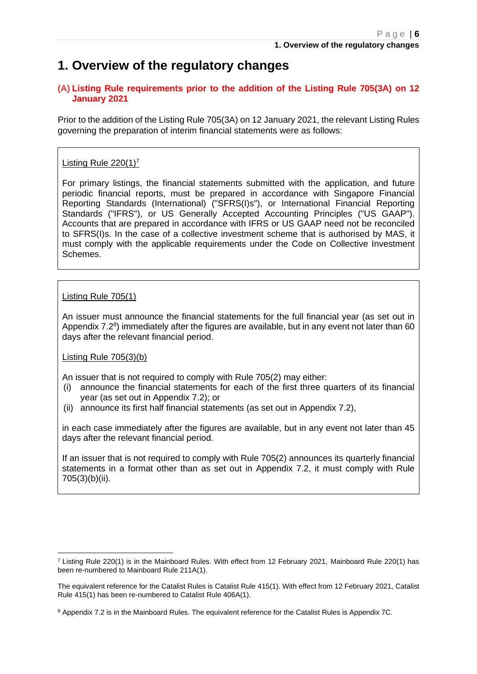### <span id="page-5-0"></span>**1. Overview of the regulatory changes**

#### <span id="page-5-1"></span>**(A) Listing Rule requirements prior to the addition of the Listing Rule 705(3A) on 12 January 2021**

Prior to the addition of the Listing Rule 705(3A) on 12 January 2021, the relevant Listing Rules governing the preparation of interim financial statements were as follows:

#### Listing Rule  $220(1)^7$

For primary listings, the financial statements submitted with the application, and future periodic financial reports, must be prepared in accordance with Singapore Financial Reporting Standards (International) ("SFRS(I)s"), or International Financial Reporting Standards ("IFRS"), or US Generally Accepted Accounting Principles ("US GAAP"). Accounts that are prepared in accordance with IFRS or US GAAP need not be reconciled to SFRS(I)s. In the case of a collective investment scheme that is authorised by MAS, it must comply with the applicable requirements under the Code on Collective Investment Schemes.

#### Listing Rule 705(1)

An issuer must announce the financial statements for the full financial year (as set out in Appendix  $7.2^8$ ) immediately after the figures are available, but in any event not later than 60 days after the relevant financial period.

#### Listing Rule 705(3)(b)

An issuer that is not required to comply with Rule 705(2) may either:

- (i) announce the financial statements for each of the first three quarters of its financial year (as set out in Appendix 7.2); or
- (ii) announce its first half financial statements (as set out in Appendix 7.2),

in each case immediately after the figures are available, but in any event not later than 45 days after the relevant financial period.

If an issuer that is not required to comply with Rule 705(2) announces its quarterly financial statements in a format other than as set out in Appendix 7.2, it must comply with Rule 705(3)(b)(ii).

 $7$  Listing Rule 220(1) is in the Mainboard Rules. With effect from 12 February 2021, Mainboard Rule 220(1) has been re-numbered to Mainboard Rule 211A(1).

The equivalent reference for the Catalist Rules is Catalist Rule 415(1). With effect from 12 February 2021, Catalist Rule 415(1) has been re-numbered to Catalist Rule 406A(1).

<sup>8</sup> Appendix 7.2 is in the Mainboard Rules. The equivalent reference for the Catalist Rules is Appendix 7C.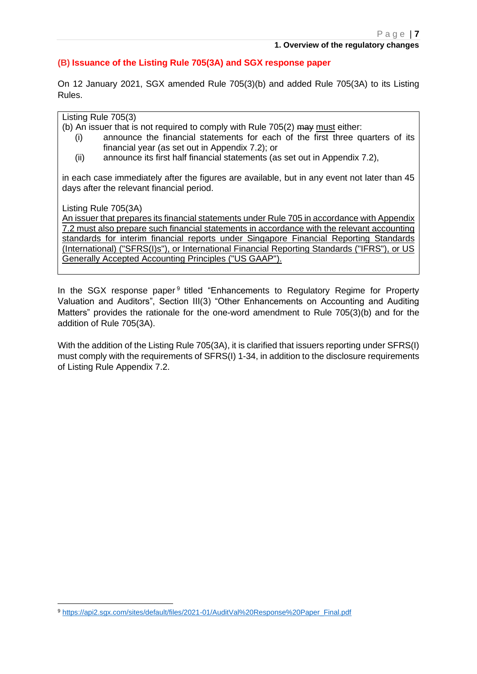#### <span id="page-6-0"></span>**(B) Issuance of the Listing Rule 705(3A) and SGX response paper**

On 12 January 2021, SGX amended Rule 705(3)(b) and added Rule 705(3A) to its Listing Rules.

Listing Rule 705(3)

(b) An issuer that is not required to comply with Rule 705(2) may must either:

- (i) announce the financial statements for each of the first three quarters of its financial year (as set out in Appendix 7.2); or
- (ii) announce its first half financial statements (as set out in Appendix 7.2),

in each case immediately after the figures are available, but in any event not later than 45 days after the relevant financial period.

Listing Rule 705(3A)

An issuer that prepares its financial statements under Rule 705 in accordance with Appendix 7.2 must also prepare such financial statements in accordance with the relevant accounting standards for interim financial reports under Singapore Financial Reporting Standards (International) ("SFRS(I)s"), or International Financial Reporting Standards ("IFRS"), or US Generally Accepted Accounting Principles ("US GAAP").

In the SGX response paper<sup>9</sup> titled "Enhancements to Regulatory Regime for Property Valuation and Auditors", Section III(3) "Other Enhancements on Accounting and Auditing Matters" provides the rationale for the one-word amendment to Rule 705(3)(b) and for the addition of Rule 705(3A).

With the addition of the Listing Rule 705(3A), it is clarified that issuers reporting under SFRS(I) must comply with the requirements of SFRS(I) 1-34, in addition to the disclosure requirements of Listing Rule Appendix 7.2.

<sup>9</sup> [https://api2.sgx.com/sites/default/files/2021-01/AuditVal%20Response%20Paper\\_Final.pdf](https://api2.sgx.com/sites/default/files/2021-01/AuditVal%20Response%20Paper_Final.pdf)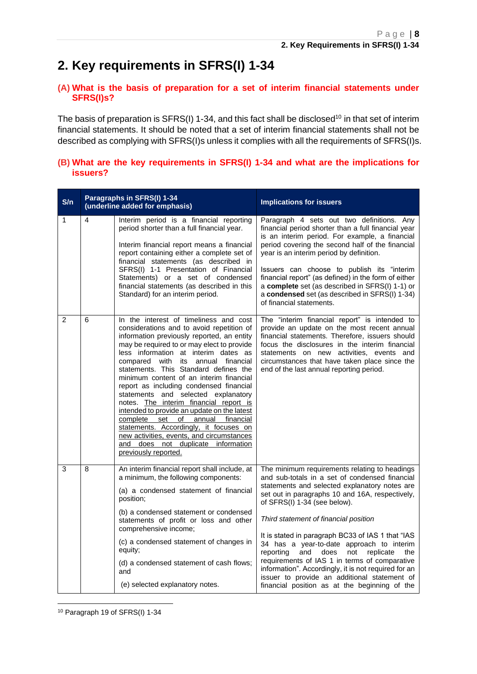## <span id="page-7-0"></span>**2. Key requirements in SFRS(I) 1-34**

#### <span id="page-7-1"></span>**(A) What is the basis of preparation for a set of interim financial statements under SFRS(I)s?**

The basis of preparation is SFRS(I) 1-34, and this fact shall be disclosed<sup>10</sup> in that set of interim financial statements. It should be noted that a set of interim financial statements shall not be described as complying with SFRS(I)s unless it complies with all the requirements of SFRS(I)s.

#### <span id="page-7-2"></span>**(B) What are the key requirements in SFRS(I) 1-34 and what are the implications for issuers?**

| S/n            |   | Paragraphs in SFRS(I) 1-34<br>(underline added for emphasis)                                                                                                                                                                                                                                                                                                                                                                                                                                                                                                                                                                                                                                                                | <b>Implications for issuers</b>                                                                                                                                                                                                                                                                                                                                                                                                                                                                                                                                                                                                                 |
|----------------|---|-----------------------------------------------------------------------------------------------------------------------------------------------------------------------------------------------------------------------------------------------------------------------------------------------------------------------------------------------------------------------------------------------------------------------------------------------------------------------------------------------------------------------------------------------------------------------------------------------------------------------------------------------------------------------------------------------------------------------------|-------------------------------------------------------------------------------------------------------------------------------------------------------------------------------------------------------------------------------------------------------------------------------------------------------------------------------------------------------------------------------------------------------------------------------------------------------------------------------------------------------------------------------------------------------------------------------------------------------------------------------------------------|
| 1              | 4 | Interim period is a financial reporting<br>period shorter than a full financial year.<br>Interim financial report means a financial<br>report containing either a complete set of<br>financial statements (as described in<br>SFRS(I) 1-1 Presentation of Financial<br>Statements) or a set of condensed<br>financial statements (as described in this<br>Standard) for an interim period.                                                                                                                                                                                                                                                                                                                                  | Paragraph 4 sets out two definitions. Any<br>financial period shorter than a full financial year<br>is an interim period. For example, a financial<br>period covering the second half of the financial<br>year is an interim period by definition.<br>Issuers can choose to publish its "interim<br>financial report" (as defined) in the form of either<br>a complete set (as described in SFRS(I) 1-1) or<br>a condensed set (as described in SFRS(I) 1-34)<br>of financial statements.                                                                                                                                                       |
| $\overline{c}$ | 6 | In the interest of timeliness and cost<br>considerations and to avoid repetition of<br>information previously reported, an entity<br>may be required to or may elect to provide<br>less information at interim dates as<br>compared with its annual financial<br>statements. This Standard defines the<br>minimum content of an interim financial<br>report as including condensed financial<br>statements and selected explanatory<br>notes. The interim financial report is<br>intended to provide an update on the latest<br>complete<br>set<br>of annual financial<br>statements. Accordingly, it focuses on<br>new activities, events, and circumstances<br>and does not duplicate information<br>previously reported. | The "interim financial report" is intended to<br>provide an update on the most recent annual<br>financial statements. Therefore, issuers should<br>focus the disclosures in the interim financial<br>statements on new activities, events and<br>circumstances that have taken place since the<br>end of the last annual reporting period.                                                                                                                                                                                                                                                                                                      |
| 3              | 8 | An interim financial report shall include, at<br>a minimum, the following components:<br>(a) a condensed statement of financial<br>position;<br>(b) a condensed statement or condensed<br>statements of profit or loss and other<br>comprehensive income;<br>(c) a condensed statement of changes in<br>equity;<br>(d) a condensed statement of cash flows;<br>and<br>(e) selected explanatory notes.                                                                                                                                                                                                                                                                                                                       | The minimum requirements relating to headings<br>and sub-totals in a set of condensed financial<br>statements and selected explanatory notes are<br>set out in paragraphs 10 and 16A, respectively,<br>of SFRS(I) 1-34 (see below).<br>Third statement of financial position<br>It is stated in paragraph BC33 of IAS 1 that "IAS<br>34 has a year-to-date approach to interim<br>reporting<br>and<br>does<br>not<br>replicate<br>the<br>requirements of IAS 1 in terms of comparative<br>information". Accordingly, it is not required for an<br>issuer to provide an additional statement of<br>financial position as at the beginning of the |

<sup>10</sup> Paragraph 19 of SFRS(I) 1-34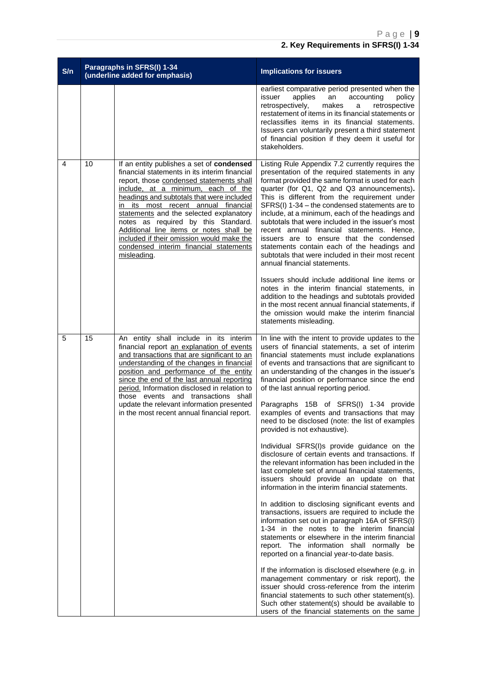| S/n |    | Paragraphs in SFRS(I) 1-34<br>(underline added for emphasis)                                                                                                                                                                                                                                                                                                                                                                                                                                        | <b>Implications for issuers</b>                                                                                                                                                                                                                                                                                                                                                                                                                                                                                                                                                                                                                                                                                                                                                                                                                                                                                                                                                                                                                                                                                                                                                                                                                                                                                                                                                                                                                                                                                               |  |
|-----|----|-----------------------------------------------------------------------------------------------------------------------------------------------------------------------------------------------------------------------------------------------------------------------------------------------------------------------------------------------------------------------------------------------------------------------------------------------------------------------------------------------------|-------------------------------------------------------------------------------------------------------------------------------------------------------------------------------------------------------------------------------------------------------------------------------------------------------------------------------------------------------------------------------------------------------------------------------------------------------------------------------------------------------------------------------------------------------------------------------------------------------------------------------------------------------------------------------------------------------------------------------------------------------------------------------------------------------------------------------------------------------------------------------------------------------------------------------------------------------------------------------------------------------------------------------------------------------------------------------------------------------------------------------------------------------------------------------------------------------------------------------------------------------------------------------------------------------------------------------------------------------------------------------------------------------------------------------------------------------------------------------------------------------------------------------|--|
|     |    |                                                                                                                                                                                                                                                                                                                                                                                                                                                                                                     | earliest comparative period presented when the<br>issuer<br>applies<br>an<br>accounting<br>policy<br>retrospectively,<br>makes<br>a<br>retrospective<br>restatement of items in its financial statements or<br>reclassifies items in its financial statements.<br>Issuers can voluntarily present a third statement<br>of financial position if they deem it useful for<br>stakeholders.                                                                                                                                                                                                                                                                                                                                                                                                                                                                                                                                                                                                                                                                                                                                                                                                                                                                                                                                                                                                                                                                                                                                      |  |
| 4   | 10 | If an entity publishes a set of condensed<br>financial statements in its interim financial<br>report, those condensed statements shall<br>include, at a minimum, each of the<br>headings and subtotals that were included<br>in its most recent annual financial<br>statements and the selected explanatory<br>notes as required by this Standard.<br>Additional line items or notes shall be<br>included if their omission would make the<br>condensed interim financial statements<br>misleading. | Listing Rule Appendix 7.2 currently requires the<br>presentation of the required statements in any<br>format provided the same format is used for each<br>quarter (for Q1, Q2 and Q3 announcements).<br>This is different from the requirement under<br>SFRS(I) 1-34 – the condensed statements are to<br>include, at a minimum, each of the headings and<br>subtotals that were included in the issuer's most<br>recent annual financial statements. Hence,<br>issuers are to ensure that the condensed<br>statements contain each of the headings and<br>subtotals that were included in their most recent<br>annual financial statements.<br>Issuers should include additional line items or<br>notes in the interim financial statements, in<br>addition to the headings and subtotals provided<br>in the most recent annual financial statements, if<br>the omission would make the interim financial<br>statements misleading.                                                                                                                                                                                                                                                                                                                                                                                                                                                                                                                                                                                          |  |
| 5   | 15 | An entity shall include in its interim<br>financial report an explanation of events<br>and transactions that are significant to an<br>understanding of the changes in financial<br>position and performance of the entity<br>since the end of the last annual reporting<br>period. Information disclosed in relation to<br>those events and transactions shall<br>update the relevant information presented<br>in the most recent annual financial report.                                          | In line with the intent to provide updates to the<br>users of financial statements, a set of interim<br>financial statements must include explanations<br>of events and transactions that are significant to<br>an understanding of the changes in the issuer's<br>financial position or performance since the end<br>of the last annual reporting period.<br>Paragraphs 15B of SFRS(I) 1-34 provide<br>examples of events and transactions that may<br>need to be disclosed (note: the list of examples<br>provided is not exhaustive).<br>Individual SFRS(I)s provide guidance on the<br>disclosure of certain events and transactions. If<br>the relevant information has been included in the<br>last complete set of annual financial statements,<br>issuers should provide an update on that<br>information in the interim financial statements.<br>In addition to disclosing significant events and<br>transactions, issuers are required to include the<br>information set out in paragraph 16A of SFRS(I)<br>1-34 in the notes to the interim financial<br>statements or elsewhere in the interim financial<br>report. The information shall normally be<br>reported on a financial year-to-date basis.<br>If the information is disclosed elsewhere (e.g. in<br>management commentary or risk report), the<br>issuer should cross-reference from the interim<br>financial statements to such other statement(s).<br>Such other statement(s) should be available to<br>users of the financial statements on the same |  |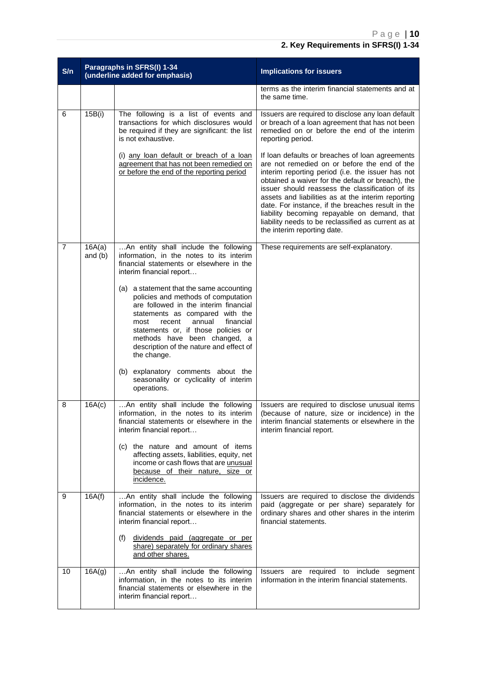| S/n            |                     | Paragraphs in SFRS(I) 1-34<br>(underline added for emphasis)                                                                                                                                                                                                                                                                                                                                                                                                                                                                                                                                     | <b>Implications for issuers</b>                                                                                                                                                                                                                                                                                                                                                                                                                                                                                |  |
|----------------|---------------------|--------------------------------------------------------------------------------------------------------------------------------------------------------------------------------------------------------------------------------------------------------------------------------------------------------------------------------------------------------------------------------------------------------------------------------------------------------------------------------------------------------------------------------------------------------------------------------------------------|----------------------------------------------------------------------------------------------------------------------------------------------------------------------------------------------------------------------------------------------------------------------------------------------------------------------------------------------------------------------------------------------------------------------------------------------------------------------------------------------------------------|--|
|                |                     |                                                                                                                                                                                                                                                                                                                                                                                                                                                                                                                                                                                                  | terms as the interim financial statements and at<br>the same time.                                                                                                                                                                                                                                                                                                                                                                                                                                             |  |
| 6              | 15B(i)              | The following is a list of events and<br>transactions for which disclosures would<br>be required if they are significant: the list<br>is not exhaustive.                                                                                                                                                                                                                                                                                                                                                                                                                                         | Issuers are required to disclose any loan default<br>or breach of a loan agreement that has not been<br>remedied on or before the end of the interim<br>reporting period.                                                                                                                                                                                                                                                                                                                                      |  |
|                |                     | (i) any loan default or breach of a loan<br>agreement that has not been remedied on<br>or before the end of the reporting period                                                                                                                                                                                                                                                                                                                                                                                                                                                                 | If loan defaults or breaches of loan agreements<br>are not remedied on or before the end of the<br>interim reporting period (i.e. the issuer has not<br>obtained a waiver for the default or breach), the<br>issuer should reassess the classification of its<br>assets and liabilities as at the interim reporting<br>date. For instance, if the breaches result in the<br>liability becoming repayable on demand, that<br>liability needs to be reclassified as current as at<br>the interim reporting date. |  |
| $\overline{7}$ | 16A(a)<br>and $(b)$ | An entity shall include the following<br>information, in the notes to its interim<br>financial statements or elsewhere in the<br>interim financial report<br>(a) a statement that the same accounting<br>policies and methods of computation<br>are followed in the interim financial<br>statements as compared with the<br>annual<br>financial<br>most<br>recent<br>statements or, if those policies or<br>methods have been changed, a<br>description of the nature and effect of<br>the change.<br>(b) explanatory comments about the<br>seasonality or cyclicality of interim<br>operations. | These requirements are self-explanatory.                                                                                                                                                                                                                                                                                                                                                                                                                                                                       |  |
| 8              | 16A(c)              | An entity shall include the following<br>information, in the notes to its interim<br>financial statements or elsewhere in the<br>interim financial report<br>(c) the nature and amount of items<br>affecting assets, liabilities, equity, net<br>income or cash flows that are unusual<br>because of their nature, size or<br>incidence.                                                                                                                                                                                                                                                         | Issuers are required to disclose unusual items<br>(because of nature, size or incidence) in the<br>interim financial statements or elsewhere in the<br>interim financial report.                                                                                                                                                                                                                                                                                                                               |  |
| 9              | 16A(f)              | An entity shall include the following<br>information, in the notes to its interim<br>financial statements or elsewhere in the<br>interim financial report<br>dividends paid (aggregate or per<br>(f)<br>share) separately for ordinary shares<br>and other shares.                                                                                                                                                                                                                                                                                                                               | Issuers are required to disclose the dividends<br>paid (aggregate or per share) separately for<br>ordinary shares and other shares in the interim<br>financial statements.                                                                                                                                                                                                                                                                                                                                     |  |
| 10             | 16A(g)              | An entity shall include the following<br>information, in the notes to its interim<br>financial statements or elsewhere in the<br>interim financial report                                                                                                                                                                                                                                                                                                                                                                                                                                        | required to<br>include segment<br><b>Issuers</b><br>are<br>information in the interim financial statements.                                                                                                                                                                                                                                                                                                                                                                                                    |  |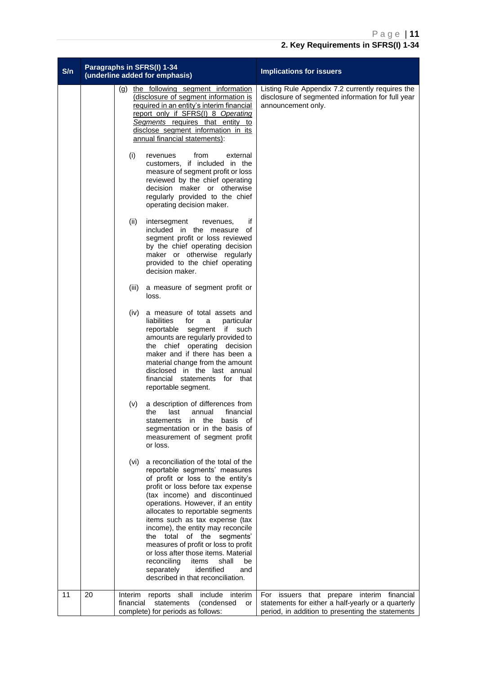| S/n |    | Paragraphs in SFRS(I) 1-34<br>(underline added for emphasis)                                                                                                                                                                                                                                                                                                                                                                                                                                                                                                            | <b>Implications for issuers</b>                                                                                                                      |
|-----|----|-------------------------------------------------------------------------------------------------------------------------------------------------------------------------------------------------------------------------------------------------------------------------------------------------------------------------------------------------------------------------------------------------------------------------------------------------------------------------------------------------------------------------------------------------------------------------|------------------------------------------------------------------------------------------------------------------------------------------------------|
|     |    | (g) the following segment information<br>(disclosure of segment information is<br>required in an entity's interim financial<br>report only if SFRS(I) 8 Operating<br>Segments requires that entity to<br>disclose segment information in its<br>annual financial statements):                                                                                                                                                                                                                                                                                           | Listing Rule Appendix 7.2 currently requires the<br>disclosure of segmented information for full year<br>announcement only.                          |
|     |    | (i)<br>from<br>external<br>revenues<br>customers, if included in the<br>measure of segment profit or loss<br>reviewed by the chief operating<br>decision maker or otherwise<br>regularly provided to the chief<br>operating decision maker.                                                                                                                                                                                                                                                                                                                             |                                                                                                                                                      |
|     |    | if<br>(ii)<br>intersegment<br>revenues,<br>included in the<br>of<br>measure<br>segment profit or loss reviewed<br>by the chief operating decision<br>maker or otherwise regularly<br>provided to the chief operating<br>decision maker.                                                                                                                                                                                                                                                                                                                                 |                                                                                                                                                      |
|     |    | (iii)<br>a measure of segment profit or<br>loss.                                                                                                                                                                                                                                                                                                                                                                                                                                                                                                                        |                                                                                                                                                      |
|     |    | a measure of total assets and<br>(iv)<br>liabilities<br>particular<br>for<br>a<br>segment<br>if such<br>reportable<br>amounts are regularly provided to<br>the chief operating decision<br>maker and if there has been a<br>material change from the amount<br>disclosed in the last annual<br>financial statements for that<br>reportable segment.                                                                                                                                                                                                                     |                                                                                                                                                      |
|     |    | a description of differences from<br>(v)<br>financial<br>the<br>last<br>annual<br>basis<br>of<br>statements in the<br>segmentation or in the basis of<br>measurement of segment profit<br>or loss.                                                                                                                                                                                                                                                                                                                                                                      |                                                                                                                                                      |
|     |    | a reconciliation of the total of the<br>(vi)<br>reportable segments' measures<br>of profit or loss to the entity's<br>profit or loss before tax expense<br>(tax income) and discontinued<br>operations. However, if an entity<br>allocates to reportable segments<br>items such as tax expense (tax<br>income), the entity may reconcile<br>the total<br>of the segments'<br>measures of profit or loss to profit<br>or loss after those items. Material<br>reconciling<br>shall<br>items<br>be<br>separately<br>identified<br>and<br>described in that reconciliation. |                                                                                                                                                      |
| 11  | 20 | Interim<br>reports shall include interim<br>financial<br>statements<br>(condensed<br>or<br>complete) for periods as follows:                                                                                                                                                                                                                                                                                                                                                                                                                                            | For issuers that prepare interim financial<br>statements for either a half-yearly or a quarterly<br>period, in addition to presenting the statements |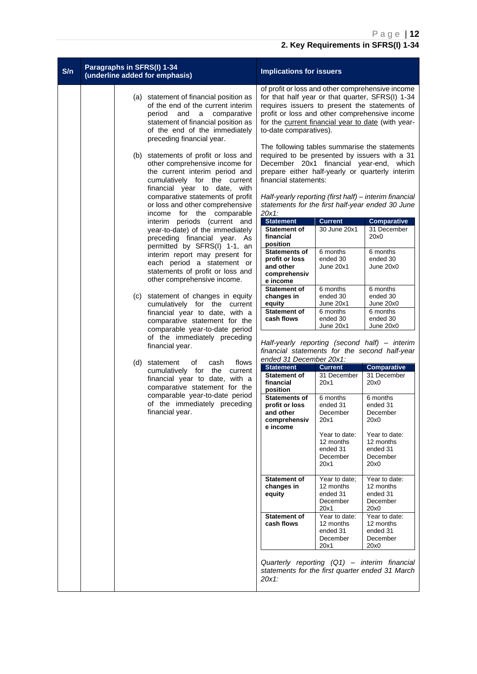| S/n | Paragraphs in SFRS(I) 1-34<br>(underline added for emphasis) |                                                                                                                                                                                                                                                                                 | <b>Implications for issuers</b>                                                                                                                                                                                                                                                                                                              |                                                                        |                                                                                |
|-----|--------------------------------------------------------------|---------------------------------------------------------------------------------------------------------------------------------------------------------------------------------------------------------------------------------------------------------------------------------|----------------------------------------------------------------------------------------------------------------------------------------------------------------------------------------------------------------------------------------------------------------------------------------------------------------------------------------------|------------------------------------------------------------------------|--------------------------------------------------------------------------------|
|     |                                                              | (a) statement of financial position as<br>of the end of the current interim<br>period<br>and<br>a comparative<br>statement of financial position as<br>of the end of the immediately<br>preceding financial year.                                                               | of profit or loss and other comprehensive income<br>for that half year or that quarter, SFRS(I) 1-34<br>requires issuers to present the statements of<br>profit or loss and other comprehensive income<br>for the current financial year to date (with year-<br>to-date comparatives).                                                       |                                                                        |                                                                                |
|     |                                                              | (b) statements of profit or loss and<br>other comprehensive income for<br>the current interim period and<br>cumulatively for the current<br>financial year to date, with<br>comparative statements of profit<br>or loss and other comprehensive<br>income for the<br>comparable | The following tables summarise the statements<br>required to be presented by issuers with a 31<br>December 20x1 financial year-end, which<br>prepare either half-yearly or quarterly interim<br>financial statements:<br>Half-yearly reporting (first half) - interim financial<br>statements for the first half-year ended 30 June<br>20x1: |                                                                        |                                                                                |
|     |                                                              | interim periods (current and<br>year-to-date) of the immediately<br>preceding financial year. As<br>permitted by SFRS(I) 1-1, an<br>interim report may present for<br>each period a statement or<br>statements of profit or loss and<br>other comprehensive income.             | <b>Statement</b><br><b>Statement of</b><br>financial<br>position<br><b>Statements of</b><br>profit or loss<br>and other<br>comprehensiv<br>e income                                                                                                                                                                                          | <b>Current</b><br>30 June 20x1<br>6 months<br>ended 30<br>June 20x1    | <b>Comparative</b><br>31 December<br>20x0<br>6 months<br>ended 30<br>June 20x0 |
|     | (C)                                                          | statement of changes in equity<br>cumulatively for the current<br>financial year to date, with a<br>comparative statement for the<br>comparable year-to-date period<br>of the immediately preceding<br>financial year.                                                          | <b>Statement of</b><br>changes in<br>equity<br><b>Statement of</b><br>cash flows<br>Half-yearly reporting (second half) - interim                                                                                                                                                                                                            | 6 months<br>ended 30<br>June 20x1<br>6 months<br>ended 30<br>June 20x1 | 6 months<br>ended 30<br>June 20x0<br>6 months<br>ended 30<br>June 20x0         |
|     |                                                              |                                                                                                                                                                                                                                                                                 | financial statements for the second half-year<br>ended 31 December 20x1:                                                                                                                                                                                                                                                                     |                                                                        |                                                                                |
|     | (d)                                                          | flows<br>statement<br>οf<br>cash<br>cumulatively for the current                                                                                                                                                                                                                | <b>Statement</b>                                                                                                                                                                                                                                                                                                                             | <b>Current</b>                                                         | <b>Comparative</b>                                                             |
|     |                                                              | financial year to date, with a<br>comparative statement for the                                                                                                                                                                                                                 | <b>Statement of</b><br>financial<br>position                                                                                                                                                                                                                                                                                                 | 31 December<br>20x1                                                    | 31 December<br>20x0                                                            |
|     |                                                              | comparable year-to-date period<br>of the immediately preceding<br>financial year.                                                                                                                                                                                               | <b>Statements of</b><br>profit or loss<br>and other<br>comprenensıv<br>e income                                                                                                                                                                                                                                                              | 6 months<br>ended 31<br>December<br>20x1                               | 6 months<br>ended 31<br>December<br>20x0                                       |
|     |                                                              |                                                                                                                                                                                                                                                                                 |                                                                                                                                                                                                                                                                                                                                              | Year to date:<br>12 months<br>ended 31<br>December<br>20x1             | Year to date:<br>12 months<br>ended 31<br>December<br>20x0                     |
|     |                                                              |                                                                                                                                                                                                                                                                                 | <b>Statement of</b><br>changes in<br>equity                                                                                                                                                                                                                                                                                                  | Year to date;<br>12 months<br>ended 31<br>December<br>20x1             | Year to date:<br>12 months<br>ended 31<br>December<br>20x0                     |
|     |                                                              |                                                                                                                                                                                                                                                                                 | <b>Statement of</b><br>cash flows                                                                                                                                                                                                                                                                                                            | Year to date:<br>12 months<br>ended 31<br>December<br>20x1             | Year to date:<br>12 months<br>ended 31<br>December<br>20x0                     |
|     |                                                              |                                                                                                                                                                                                                                                                                 | statements for the first quarter ended 31 March<br>20x1:                                                                                                                                                                                                                                                                                     |                                                                        | Quarterly reporting (Q1) - interim financial                                   |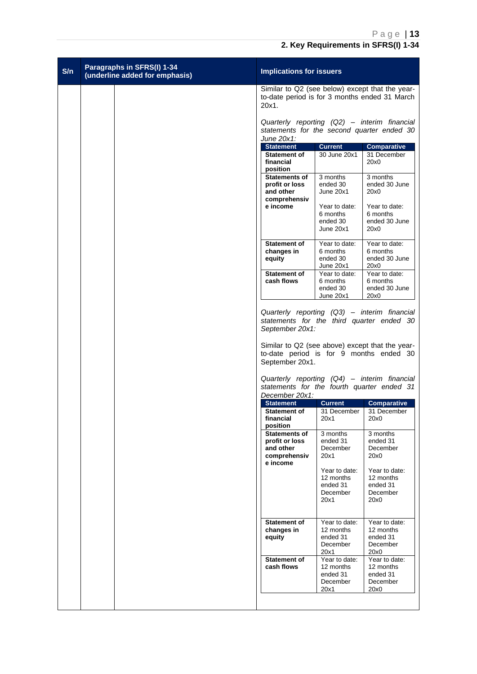| S/n | Paragraphs in SFRS(I) 1-34<br>(underline added for emphasis) | <b>Implications for issuers</b>                                                                           |                                                            |                                                                                                                                                                                                                                            |  |
|-----|--------------------------------------------------------------|-----------------------------------------------------------------------------------------------------------|------------------------------------------------------------|--------------------------------------------------------------------------------------------------------------------------------------------------------------------------------------------------------------------------------------------|--|
|     |                                                              | Similar to Q2 (see below) except that the year-<br>to-date period is for 3 months ended 31 March<br>20x1. |                                                            |                                                                                                                                                                                                                                            |  |
|     |                                                              | June 20x1:                                                                                                |                                                            | Quarterly reporting (Q2) - interim financial<br>statements for the second quarter ended 30                                                                                                                                                 |  |
|     |                                                              | <b>Statement</b><br><b>Statement of</b><br>financial<br>position                                          | <b>Current</b><br>30 June 20x1                             | <b>Comparative</b><br>31 December<br>20x0                                                                                                                                                                                                  |  |
|     |                                                              | Statements of<br>profit or loss<br>and other<br>comprehensiv                                              | 3 months<br>ended 30<br>June 20x1                          | 3 months<br>ended 30 June<br>20x0                                                                                                                                                                                                          |  |
|     |                                                              | e income                                                                                                  | Year to date:<br>6 months<br>ended 30<br>June 20x1         | Year to date:<br>6 months<br>ended 30 June<br>20x0                                                                                                                                                                                         |  |
|     |                                                              | <b>Statement of</b><br>changes in<br>equity                                                               | Year to date:<br>6 months<br>ended 30<br>June 20x1         | Year to date:<br>6 months<br>ended 30 June<br>20x0                                                                                                                                                                                         |  |
|     |                                                              | Statement of<br>cash flows                                                                                | Year to date:<br>6 months<br>ended 30<br>June 20x1         | Year to date:<br>6 months<br>ended 30 June<br>20x0                                                                                                                                                                                         |  |
|     |                                                              | September 20x1:<br>to-date period is for 9 months ended 30<br>September 20x1.                             |                                                            | Quarterly reporting (Q3) - interim financial<br>statements for the third quarter ended 30<br>Similar to Q2 (see above) except that the year-<br>Quarterly reporting (Q4) - interim financial<br>statements for the fourth quarter ended 31 |  |
|     |                                                              | December 20x1:                                                                                            |                                                            |                                                                                                                                                                                                                                            |  |
|     |                                                              | <b>Statement</b><br><b>Statement of</b><br>financial<br>position                                          | <b>Current</b><br>31 December<br>20x1                      | Comparative<br>31 December<br>20x0                                                                                                                                                                                                         |  |
|     |                                                              | <b>Statements of</b><br>profit or loss<br>and other<br>comprehensiv<br>e income                           | 3 months<br>ended 31<br>December<br>20x1                   | 3 months<br>ended 31<br>December<br>20x0                                                                                                                                                                                                   |  |
|     |                                                              |                                                                                                           | Year to date:<br>12 months<br>ended 31<br>December<br>20x1 | Year to date:<br>12 months<br>ended 31<br>December<br>20x0                                                                                                                                                                                 |  |
|     |                                                              | <b>Statement of</b><br>changes in<br>equity                                                               | Year to date:<br>12 months<br>ended 31<br>December<br>20x1 | Year to date:<br>12 months<br>ended 31<br>December<br>20x0                                                                                                                                                                                 |  |
|     |                                                              | <b>Statement of</b><br>cash flows                                                                         | Year to date:<br>12 months<br>ended 31<br>December<br>20x1 | Year to date:<br>12 months<br>ended 31<br>December<br>20x0                                                                                                                                                                                 |  |
|     |                                                              |                                                                                                           |                                                            |                                                                                                                                                                                                                                            |  |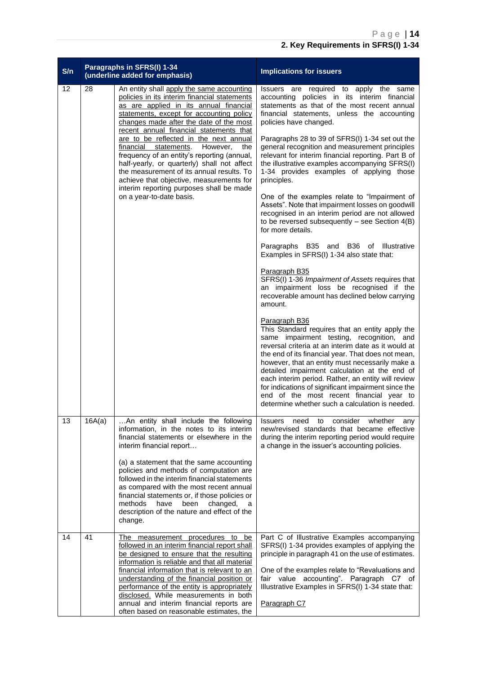| S/n |        | Paragraphs in SFRS(I) 1-34<br>(underline added for emphasis)                                                                                                                                                                                                                                                                                                                                                                                                                                                                                                                                                               | <b>Implications for issuers</b>                                                                                                                                                                                                                                                                                                                                                                                                                                                                                                                                                                                                                                                                                                                                                                                                                                                                                                                                                                                                                                                                                                                                                                                                                                                                                                                                                                                                                                                                                                                       |  |
|-----|--------|----------------------------------------------------------------------------------------------------------------------------------------------------------------------------------------------------------------------------------------------------------------------------------------------------------------------------------------------------------------------------------------------------------------------------------------------------------------------------------------------------------------------------------------------------------------------------------------------------------------------------|-------------------------------------------------------------------------------------------------------------------------------------------------------------------------------------------------------------------------------------------------------------------------------------------------------------------------------------------------------------------------------------------------------------------------------------------------------------------------------------------------------------------------------------------------------------------------------------------------------------------------------------------------------------------------------------------------------------------------------------------------------------------------------------------------------------------------------------------------------------------------------------------------------------------------------------------------------------------------------------------------------------------------------------------------------------------------------------------------------------------------------------------------------------------------------------------------------------------------------------------------------------------------------------------------------------------------------------------------------------------------------------------------------------------------------------------------------------------------------------------------------------------------------------------------------|--|
| 12  | 28     | An entity shall apply the same accounting<br>policies in its interim financial statements<br>as are applied in its annual financial<br>statements, except for accounting policy<br>changes made after the date of the most<br>recent annual financial statements that<br>are to be reflected in the next annual<br>However,<br>financial statements.<br>the<br>frequency of an entity's reporting (annual,<br>half-yearly, or quarterly) shall not affect<br>the measurement of its annual results. To<br>achieve that objective, measurements for<br>interim reporting purposes shall be made<br>on a year-to-date basis. | Issuers are required to apply the<br>same<br>accounting policies in its interim financial<br>statements as that of the most recent annual<br>financial statements, unless the accounting<br>policies have changed.<br>Paragraphs 28 to 39 of SFRS(I) 1-34 set out the<br>general recognition and measurement principles<br>relevant for interim financial reporting. Part B of<br>the illustrative examples accompanying SFRS(I)<br>1-34 provides examples of applying those<br>principles.<br>One of the examples relate to "Impairment of<br>Assets". Note that impairment losses on goodwill<br>recognised in an interim period are not allowed<br>to be reversed subsequently $-$ see Section $4(B)$<br>for more details.<br>Paragraphs B35 and B36 of Illustrative<br>Examples in SFRS(I) 1-34 also state that:<br><b>Paragraph B35</b><br>SFRS(I) 1-36 Impairment of Assets requires that<br>an impairment loss be recognised if the<br>recoverable amount has declined below carrying<br>amount.<br>Paragraph B36<br>This Standard requires that an entity apply the<br>same impairment testing, recognition, and<br>reversal criteria at an interim date as it would at<br>the end of its financial year. That does not mean,<br>however, that an entity must necessarily make a<br>detailed impairment calculation at the end of<br>each interim period. Rather, an entity will review<br>for indications of significant impairment since the<br>end of the most recent financial year to<br>determine whether such a calculation is needed. |  |
| 13  | 16A(a) | An entity shall include the following<br>information, in the notes to its interim<br>financial statements or elsewhere in the<br>interim financial report<br>(a) a statement that the same accounting<br>policies and methods of computation are<br>followed in the interim financial statements<br>as compared with the most recent annual<br>financial statements or, if those policies or<br>methods<br>have<br>been<br>changed,<br>a<br>description of the nature and effect of the<br>change.                                                                                                                         | consider<br><b>Issuers</b><br>need<br>to<br>whether<br>any<br>new/revised standards that became effective<br>during the interim reporting period would require<br>a change in the issuer's accounting policies.                                                                                                                                                                                                                                                                                                                                                                                                                                                                                                                                                                                                                                                                                                                                                                                                                                                                                                                                                                                                                                                                                                                                                                                                                                                                                                                                       |  |
| 14  | 41     | The measurement procedures<br>to<br>be<br>followed in an interim financial report shall<br>be designed to ensure that the resulting<br>information is reliable and that all material<br>financial information that is relevant to an<br>understanding of the financial position or<br>performance of the entity is appropriately<br>disclosed. While measurements in both<br>annual and interim financial reports are<br>often based on reasonable estimates, the                                                                                                                                                          | Part C of Illustrative Examples accompanying<br>SFRS(I) 1-34 provides examples of applying the<br>principle in paragraph 41 on the use of estimates.<br>One of the examples relate to "Revaluations and<br>fair value accounting". Paragraph C7 of<br>Illustrative Examples in SFRS(I) 1-34 state that:<br>Paragraph C7                                                                                                                                                                                                                                                                                                                                                                                                                                                                                                                                                                                                                                                                                                                                                                                                                                                                                                                                                                                                                                                                                                                                                                                                                               |  |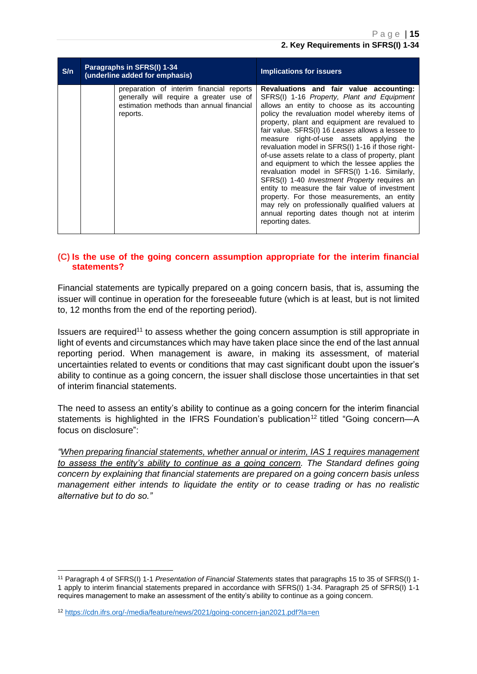| S/n | Paragraphs in SFRS(I) 1-34<br>(underline added for emphasis)                                                                                | <b>Implications for issuers</b>                                                                                                                                                                                                                                                                                                                                                                                                                                                                                                                                                                                                                                                                                                                                                                                                     |  |
|-----|---------------------------------------------------------------------------------------------------------------------------------------------|-------------------------------------------------------------------------------------------------------------------------------------------------------------------------------------------------------------------------------------------------------------------------------------------------------------------------------------------------------------------------------------------------------------------------------------------------------------------------------------------------------------------------------------------------------------------------------------------------------------------------------------------------------------------------------------------------------------------------------------------------------------------------------------------------------------------------------------|--|
|     | preparation of interim financial reports<br>generally will require a greater use of<br>estimation methods than annual financial<br>reports. | Revaluations and fair value accounting:<br>SFRS(I) 1-16 Property, Plant and Equipment<br>allows an entity to choose as its accounting<br>policy the revaluation model whereby items of<br>property, plant and equipment are revalued to<br>fair value. SFRS(I) 16 Leases allows a lessee to<br>measure right-of-use assets applying the<br>revaluation model in SFRS(I) 1-16 if those right-<br>of-use assets relate to a class of property, plant<br>and equipment to which the lessee applies the<br>revaluation model in SFRS(I) 1-16. Similarly,<br>SFRS(I) 1-40 <i>Investment Property</i> requires an<br>entity to measure the fair value of investment<br>property. For those measurements, an entity<br>may rely on professionally qualified valuers at<br>annual reporting dates though not at interim<br>reporting dates. |  |

#### <span id="page-14-0"></span>**(C) Is the use of the going concern assumption appropriate for the interim financial statements?**

Financial statements are typically prepared on a going concern basis, that is, assuming the issuer will continue in operation for the foreseeable future (which is at least, but is not limited to, 12 months from the end of the reporting period).

Issuers are required<sup>11</sup> to assess whether the going concern assumption is still appropriate in light of events and circumstances which may have taken place since the end of the last annual reporting period. When management is aware, in making its assessment, of material uncertainties related to events or conditions that may cast significant doubt upon the issuer's ability to continue as a going concern, the issuer shall disclose those uncertainties in that set of interim financial statements.

The need to assess an entity's ability to continue as a going concern for the interim financial statements is highlighted in the IFRS Foundation's publication<sup>12</sup> titled "Going concern--A focus on disclosure":

*"When preparing financial statements, whether annual or interim, IAS 1 requires management to assess the entity's ability to continue as a going concern. The Standard defines going concern by explaining that financial statements are prepared on a going concern basis unless management either intends to liquidate the entity or to cease trading or has no realistic alternative but to do so."*

<sup>11</sup> Paragraph 4 of SFRS(I) 1-1 *Presentation of Financial Statements* states that paragraphs 15 to 35 of SFRS(I) 1- 1 apply to interim financial statements prepared in accordance with SFRS(I) 1-34. Paragraph 25 of SFRS(I) 1-1 requires management to make an assessment of the entity's ability to continue as a going concern.

<sup>12</sup> <https://cdn.ifrs.org/-/media/feature/news/2021/going-concern-jan2021.pdf?la=en>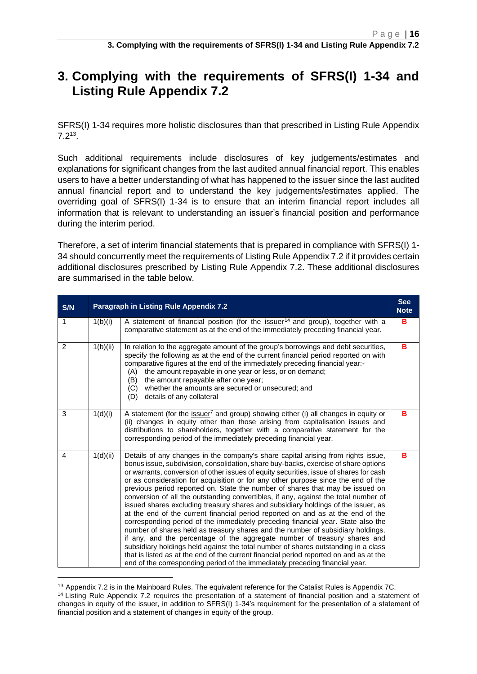<span id="page-15-0"></span>SFRS(I) 1-34 requires more holistic disclosures than that prescribed in Listing Rule Appendix  $7.2^{13}$ .

Such additional requirements include disclosures of key judgements/estimates and explanations for significant changes from the last audited annual financial report. This enables users to have a better understanding of what has happened to the issuer since the last audited annual financial report and to understand the key judgements/estimates applied. The overriding goal of SFRS(I) 1-34 is to ensure that an interim financial report includes all information that is relevant to understanding an issuer's financial position and performance during the interim period.

Therefore, a set of interim financial statements that is prepared in compliance with SFRS(I) 1- 34 should concurrently meet the requirements of Listing Rule Appendix 7.2 if it provides certain additional disclosures prescribed by Listing Rule Appendix 7.2. These additional disclosures are summarised in the table below.

| S/N | <b>See</b><br>Paragraph in Listing Rule Appendix 7.2<br><b>Note</b> |                                                                                                                                                                                                                                                                                                                                                                                                                                                                                                                                                                                                                                                                                                                                                                                                                                                                                                                                                                                                                                                                                                                                                                                                                            |   |  |  |
|-----|---------------------------------------------------------------------|----------------------------------------------------------------------------------------------------------------------------------------------------------------------------------------------------------------------------------------------------------------------------------------------------------------------------------------------------------------------------------------------------------------------------------------------------------------------------------------------------------------------------------------------------------------------------------------------------------------------------------------------------------------------------------------------------------------------------------------------------------------------------------------------------------------------------------------------------------------------------------------------------------------------------------------------------------------------------------------------------------------------------------------------------------------------------------------------------------------------------------------------------------------------------------------------------------------------------|---|--|--|
| 1   | 1(b)(i)                                                             | A statement of financial position (for the issuer <sup>14</sup> and group), together with a<br>comparative statement as at the end of the immediately preceding financial year.                                                                                                                                                                                                                                                                                                                                                                                                                                                                                                                                                                                                                                                                                                                                                                                                                                                                                                                                                                                                                                            | B |  |  |
| 2   | 1(b)(ii)                                                            | In relation to the aggregate amount of the group's borrowings and debt securities,<br>specify the following as at the end of the current financial period reported on with<br>comparative figures at the end of the immediately preceding financial year:-<br>the amount repayable in one year or less, or on demand;<br>(A)<br>the amount repayable after one year;<br>(B)<br>whether the amounts are secured or unsecured; and<br>(C)<br>details of any collateral<br>(D)                                                                                                                                                                                                                                                                                                                                                                                                                                                                                                                                                                                                                                                                                                                                                | B |  |  |
| 3   | 1(d)(i)                                                             | A statement (for the issuer <sup>7</sup> and group) showing either (i) all changes in equity or<br>(ii) changes in equity other than those arising from capitalisation issues and<br>distributions to shareholders, together with a comparative statement for the<br>corresponding period of the immediately preceding financial year.                                                                                                                                                                                                                                                                                                                                                                                                                                                                                                                                                                                                                                                                                                                                                                                                                                                                                     | в |  |  |
| 4   | 1(d)(ii)                                                            | Details of any changes in the company's share capital arising from rights issue,<br>bonus issue, subdivision, consolidation, share buy-backs, exercise of share options<br>or warrants, conversion of other issues of equity securities, issue of shares for cash<br>or as consideration for acquisition or for any other purpose since the end of the<br>previous period reported on. State the number of shares that may be issued on<br>conversion of all the outstanding convertibles, if any, against the total number of<br>issued shares excluding treasury shares and subsidiary holdings of the issuer, as<br>at the end of the current financial period reported on and as at the end of the<br>corresponding period of the immediately preceding financial year. State also the<br>number of shares held as treasury shares and the number of subsidiary holdings,<br>if any, and the percentage of the aggregate number of treasury shares and<br>subsidiary holdings held against the total number of shares outstanding in a class<br>that is listed as at the end of the current financial period reported on and as at the<br>end of the corresponding period of the immediately preceding financial year. | B |  |  |

<sup>&</sup>lt;sup>13</sup> Appendix 7.2 is in the Mainboard Rules. The equivalent reference for the Catalist Rules is Appendix 7C.

<sup>&</sup>lt;sup>14</sup> Listing Rule Appendix 7.2 requires the presentation of a statement of financial position and a statement of changes in equity of the issuer, in addition to SFRS(I) 1-34's requirement for the presentation of a statement of financial position and a statement of changes in equity of the group.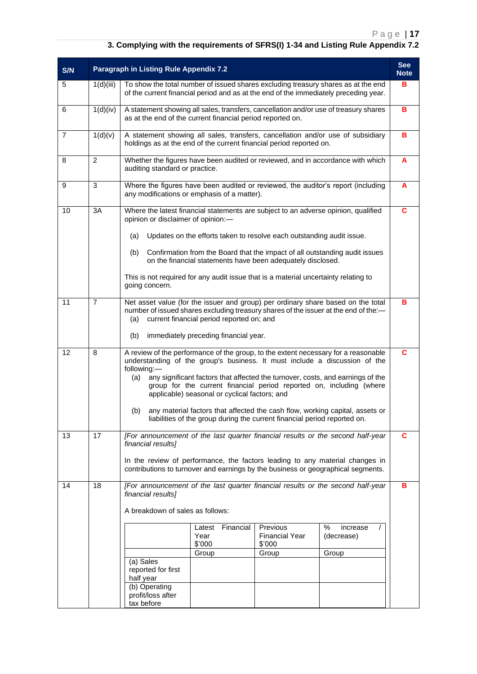| S/N |                | Paragraph in Listing Rule Appendix 7.2                                                                                                                                                                                                                                                                      |   |  |  |  |  |
|-----|----------------|-------------------------------------------------------------------------------------------------------------------------------------------------------------------------------------------------------------------------------------------------------------------------------------------------------------|---|--|--|--|--|
| 5   | 1(d)(iii)      | To show the total number of issued shares excluding treasury shares as at the end<br>of the current financial period and as at the end of the immediately preceding year.                                                                                                                                   | в |  |  |  |  |
| 6   | 1(d)(iv)       | A statement showing all sales, transfers, cancellation and/or use of treasury shares<br>as at the end of the current financial period reported on.                                                                                                                                                          | в |  |  |  |  |
| 7   | 1(d)(v)        | A statement showing all sales, transfers, cancellation and/or use of subsidiary<br>holdings as at the end of the current financial period reported on.                                                                                                                                                      | в |  |  |  |  |
| 8   | $\overline{2}$ | Whether the figures have been audited or reviewed, and in accordance with which<br>auditing standard or practice.                                                                                                                                                                                           | A |  |  |  |  |
| 9   | 3              | Where the figures have been audited or reviewed, the auditor's report (including<br>any modifications or emphasis of a matter).                                                                                                                                                                             | A |  |  |  |  |
| 10  | 3A             | Where the latest financial statements are subject to an adverse opinion, qualified<br>opinion or disclaimer of opinion:-                                                                                                                                                                                    |   |  |  |  |  |
|     |                | Updates on the efforts taken to resolve each outstanding audit issue.<br>(a)                                                                                                                                                                                                                                |   |  |  |  |  |
|     |                | Confirmation from the Board that the impact of all outstanding audit issues<br>(b)<br>on the financial statements have been adequately disclosed.                                                                                                                                                           |   |  |  |  |  |
|     |                | This is not required for any audit issue that is a material uncertainty relating to<br>going concern.                                                                                                                                                                                                       |   |  |  |  |  |
| 11  | $\overline{7}$ | Net asset value (for the issuer and group) per ordinary share based on the total<br>number of issued shares excluding treasury shares of the issuer at the end of the:-<br>current financial period reported on; and<br>(a)<br>(b)<br>immediately preceding financial year.                                 |   |  |  |  |  |
| 12  | 8              | A review of the performance of the group, to the extent necessary for a reasonable                                                                                                                                                                                                                          |   |  |  |  |  |
|     |                | understanding of the group's business. It must include a discussion of the<br>following:-<br>any significant factors that affected the turnover, costs, and earnings of the<br>(a)<br>group for the current financial period reported on, including (where<br>applicable) seasonal or cyclical factors; and |   |  |  |  |  |
|     |                | any material factors that affected the cash flow, working capital, assets or<br>(b)<br>liabilities of the group during the current financial period reported on.                                                                                                                                            |   |  |  |  |  |
| 13  | 17             | [For announcement of the last quarter financial results or the second half-year<br>financial results]<br>In the review of performance, the factors leading to any material changes in                                                                                                                       |   |  |  |  |  |
| 14  | 18             | contributions to turnover and earnings by the business or geographical segments.<br>[For announcement of the last quarter financial results or the second half-year<br>B                                                                                                                                    |   |  |  |  |  |
|     |                | financial results]                                                                                                                                                                                                                                                                                          |   |  |  |  |  |
|     |                | A breakdown of sales as follows:                                                                                                                                                                                                                                                                            |   |  |  |  |  |
|     |                | Financial<br>Previous<br>$\%$<br>increase<br>Latest<br><b>Financial Year</b><br>Year<br>(decrease)<br>\$'000<br>\$'000                                                                                                                                                                                      |   |  |  |  |  |
|     |                | Group<br>Group<br>Group                                                                                                                                                                                                                                                                                     |   |  |  |  |  |
|     |                | (a) Sales<br>reported for first<br>half year                                                                                                                                                                                                                                                                |   |  |  |  |  |
|     |                | (b) Operating<br>profit/loss after<br>tax before                                                                                                                                                                                                                                                            |   |  |  |  |  |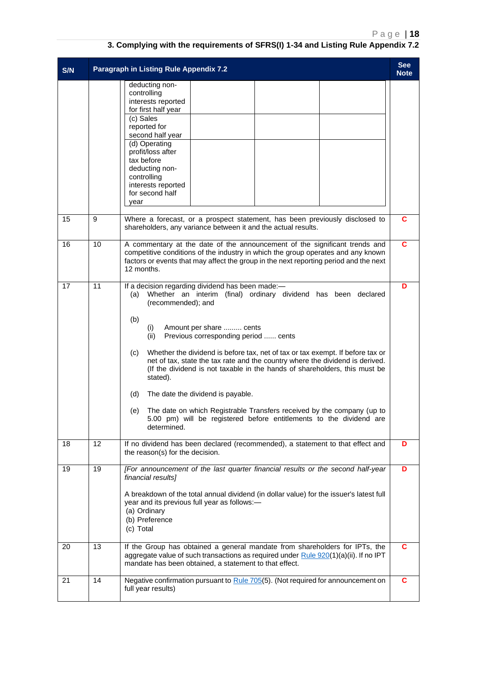| S/N |    | Paragraph in Listing Rule Appendix 7.2                                                                                                                                                                                                                                                                                                                                                                                                                                                                                                                                                                                                                                                                                          | <b>See</b><br><b>Note</b> |
|-----|----|---------------------------------------------------------------------------------------------------------------------------------------------------------------------------------------------------------------------------------------------------------------------------------------------------------------------------------------------------------------------------------------------------------------------------------------------------------------------------------------------------------------------------------------------------------------------------------------------------------------------------------------------------------------------------------------------------------------------------------|---------------------------|
|     |    | deducting non-<br>controlling<br>interests reported<br>for first half year<br>(c) Sales<br>reported for<br>second half year<br>(d) Operating<br>profit/loss after<br>tax before<br>deducting non-<br>controlling<br>interests reported<br>for second half<br>year                                                                                                                                                                                                                                                                                                                                                                                                                                                               |                           |
| 15  | 9  | Where a forecast, or a prospect statement, has been previously disclosed to<br>shareholders, any variance between it and the actual results.                                                                                                                                                                                                                                                                                                                                                                                                                                                                                                                                                                                    | C                         |
| 16  | 10 | A commentary at the date of the announcement of the significant trends and<br>competitive conditions of the industry in which the group operates and any known<br>factors or events that may affect the group in the next reporting period and the next<br>12 months.                                                                                                                                                                                                                                                                                                                                                                                                                                                           | C                         |
| 17  | 11 | If a decision regarding dividend has been made:-<br>Whether an interim (final) ordinary dividend has been declared<br>(a)<br>(recommended); and<br>(b)<br>Amount per share  cents<br>(i)<br>Previous corresponding period  cents<br>(ii)<br>Whether the dividend is before tax, net of tax or tax exempt. If before tax or<br>(c)<br>net of tax, state the tax rate and the country where the dividend is derived.<br>(If the dividend is not taxable in the hands of shareholders, this must be<br>stated).<br>(d)<br>The date the dividend is payable.<br>The date on which Registrable Transfers received by the company (up to<br>(e)<br>5.00 pm) will be registered before entitlements to the dividend are<br>determined. | D                         |
| 18  | 12 | If no dividend has been declared (recommended), a statement to that effect and<br>the reason(s) for the decision.                                                                                                                                                                                                                                                                                                                                                                                                                                                                                                                                                                                                               | D                         |
| 19  | 19 | [For announcement of the last quarter financial results or the second half-year<br>financial results]<br>A breakdown of the total annual dividend (in dollar value) for the issuer's latest full<br>year and its previous full year as follows:-<br>(a) Ordinary<br>(b) Preference<br>(c) Total                                                                                                                                                                                                                                                                                                                                                                                                                                 | D                         |
| 20  | 13 | If the Group has obtained a general mandate from shareholders for IPTs, the<br>aggregate value of such transactions as required under Rule 920(1)(a)(ii). If no IPT<br>mandate has been obtained, a statement to that effect.                                                                                                                                                                                                                                                                                                                                                                                                                                                                                                   | C                         |
| 21  | 14 | Negative confirmation pursuant to Rule 705(5). (Not required for announcement on<br>full year results)                                                                                                                                                                                                                                                                                                                                                                                                                                                                                                                                                                                                                          | C                         |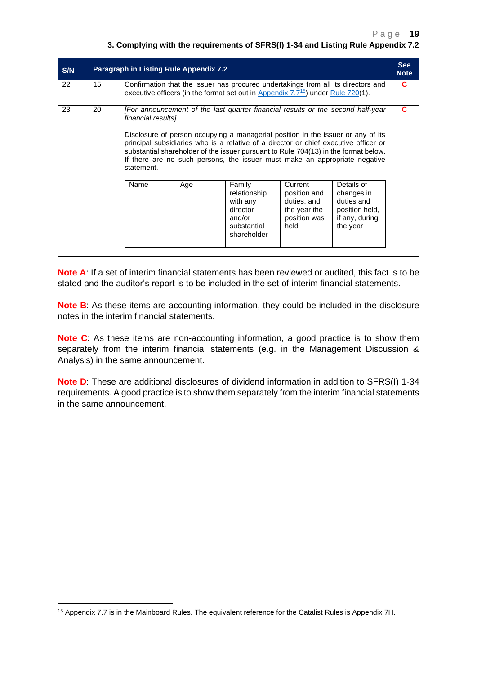| S/N | <b>Paragraph in Listing Rule Appendix 7.2</b> |                                                                                                                                                                                                                                                                                                                                                                                                                                                                      |     |                                                                                        |                                                                                |                                                                                        |  |  |
|-----|-----------------------------------------------|----------------------------------------------------------------------------------------------------------------------------------------------------------------------------------------------------------------------------------------------------------------------------------------------------------------------------------------------------------------------------------------------------------------------------------------------------------------------|-----|----------------------------------------------------------------------------------------|--------------------------------------------------------------------------------|----------------------------------------------------------------------------------------|--|--|
| 22  | 15                                            | Confirmation that the issuer has procured undertakings from all its directors and<br>executive officers (in the format set out in Appendix $7.7^{15}$ ) under Rule 720(1).                                                                                                                                                                                                                                                                                           |     |                                                                                        |                                                                                |                                                                                        |  |  |
| 23  | 20                                            | [For announcement of the last quarter financial results or the second half-year<br>financial results]<br>Disclosure of person occupying a managerial position in the issuer or any of its<br>principal subsidiaries who is a relative of a director or chief executive officer or<br>substantial shareholder of the issuer pursuant to Rule 704(13) in the format below.<br>If there are no such persons, the issuer must make an appropriate negative<br>statement. |     |                                                                                        |                                                                                |                                                                                        |  |  |
|     |                                               | Name                                                                                                                                                                                                                                                                                                                                                                                                                                                                 | Age | Family<br>relationship<br>with any<br>director<br>and/or<br>substantial<br>shareholder | Current<br>position and<br>duties, and<br>the year the<br>position was<br>held | Details of<br>changes in<br>duties and<br>position held,<br>if any, during<br>the year |  |  |

**Note A**: If a set of interim financial statements has been reviewed or audited, this fact is to be stated and the auditor's report is to be included in the set of interim financial statements.

**Note B**: As these items are accounting information, they could be included in the disclosure notes in the interim financial statements.

**Note C**: As these items are non-accounting information, a good practice is to show them separately from the interim financial statements (e.g. in the Management Discussion & Analysis) in the same announcement.

**Note D**: These are additional disclosures of dividend information in addition to SFRS(I) 1-34 requirements. A good practice is to show them separately from the interim financial statements in the same announcement.

<sup>15</sup> Appendix 7.7 is in the Mainboard Rules. The equivalent reference for the Catalist Rules is Appendix 7H.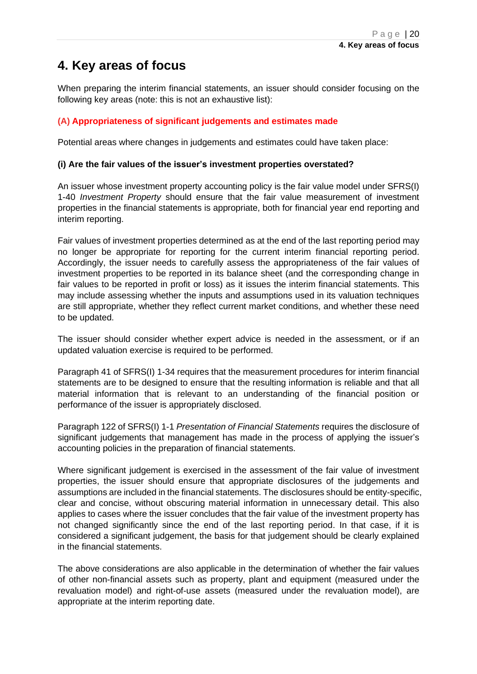## <span id="page-19-0"></span>**4. Key areas of focus**

When preparing the interim financial statements, an issuer should consider focusing on the following key areas (note: this is not an exhaustive list):

#### <span id="page-19-1"></span>**(A) Appropriateness of significant judgements and estimates made**

Potential areas where changes in judgements and estimates could have taken place:

#### **(i) Are the fair values of the issuer's investment properties overstated?**

An issuer whose investment property accounting policy is the fair value model under SFRS(I) 1-40 *Investment Property* should ensure that the fair value measurement of investment properties in the financial statements is appropriate, both for financial year end reporting and interim reporting.

Fair values of investment properties determined as at the end of the last reporting period may no longer be appropriate for reporting for the current interim financial reporting period. Accordingly, the issuer needs to carefully assess the appropriateness of the fair values of investment properties to be reported in its balance sheet (and the corresponding change in fair values to be reported in profit or loss) as it issues the interim financial statements. This may include assessing whether the inputs and assumptions used in its valuation techniques are still appropriate, whether they reflect current market conditions, and whether these need to be updated.

The issuer should consider whether expert advice is needed in the assessment, or if an updated valuation exercise is required to be performed.

Paragraph 41 of SFRS(I) 1-34 requires that the measurement procedures for interim financial statements are to be designed to ensure that the resulting information is reliable and that all material information that is relevant to an understanding of the financial position or performance of the issuer is appropriately disclosed.

Paragraph 122 of SFRS(I) 1-1 *Presentation of Financial Statements* requires the disclosure of significant judgements that management has made in the process of applying the issuer's accounting policies in the preparation of financial statements.

Where significant judgement is exercised in the assessment of the fair value of investment properties, the issuer should ensure that appropriate disclosures of the judgements and assumptions are included in the financial statements. The disclosures should be entity-specific, clear and concise, without obscuring material information in unnecessary detail. This also applies to cases where the issuer concludes that the fair value of the investment property has not changed significantly since the end of the last reporting period. In that case, if it is considered a significant judgement, the basis for that judgement should be clearly explained in the financial statements.

The above considerations are also applicable in the determination of whether the fair values of other non-financial assets such as property, plant and equipment (measured under the revaluation model) and right-of-use assets (measured under the revaluation model), are appropriate at the interim reporting date.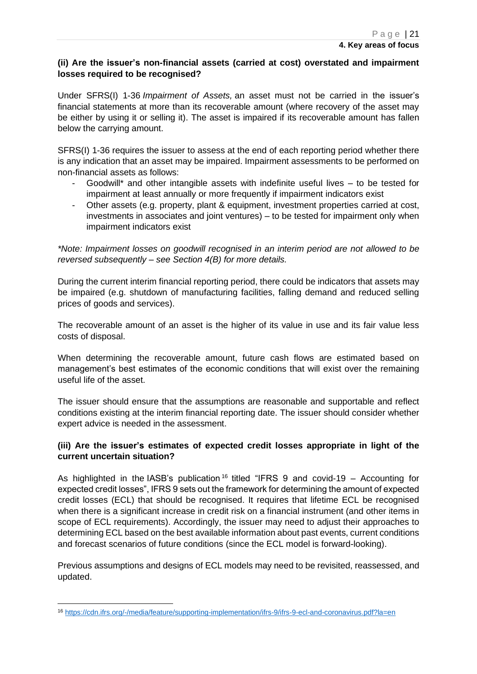#### **(ii) Are the issuer's non-financial assets (carried at cost) overstated and impairment losses required to be recognised?**

Under SFRS(I) 1-36 *Impairment of Assets,* an asset must not be carried in the issuer's financial statements at more than its recoverable amount (where recovery of the asset may be either by using it or selling it). The asset is impaired if its recoverable amount has fallen below the carrying amount.

SFRS(I) 1-36 requires the issuer to assess at the end of each reporting period whether there is any indication that an asset may be impaired. Impairment assessments to be performed on non-financial assets as follows:

- Goodwill\* and other intangible assets with indefinite useful lives  $-$  to be tested for impairment at least annually or more frequently if impairment indicators exist
- Other assets (e.g. property, plant & equipment, investment properties carried at cost, investments in associates and joint ventures) – to be tested for impairment only when impairment indicators exist

*\*Note: Impairment losses on goodwill recognised in an interim period are not allowed to be reversed subsequently – see Section 4(B) for more details.*

During the current interim financial reporting period, there could be indicators that assets may be impaired (e.g. shutdown of manufacturing facilities, falling demand and reduced selling prices of goods and services).

The recoverable amount of an asset is the higher of its value in use and its fair value less costs of disposal.

When determining the recoverable amount, future cash flows are estimated based on management's best estimates of the economic conditions that will exist over the remaining useful life of the asset.

The issuer should ensure that the assumptions are reasonable and supportable and reflect conditions existing at the interim financial reporting date. The issuer should consider whether expert advice is needed in the assessment.

#### **(iii) Are the issuer's estimates of expected credit losses appropriate in light of the current uncertain situation?**

As highlighted in the IASB's publication<sup>16</sup> titled "IFRS 9 and covid-19 – Accounting for expected credit losses", IFRS 9 sets out the framework for determining the amount of expected credit losses (ECL) that should be recognised. It requires that lifetime ECL be recognised when there is a significant increase in credit risk on a financial instrument (and other items in scope of ECL requirements). Accordingly, the issuer may need to adjust their approaches to determining ECL based on the best available information about past events, current conditions and forecast scenarios of future conditions (since the ECL model is forward-looking).

Previous assumptions and designs of ECL models may need to be revisited, reassessed, and updated.

<sup>16</sup> <https://cdn.ifrs.org/-/media/feature/supporting-implementation/ifrs-9/ifrs-9-ecl-and-coronavirus.pdf?la=en>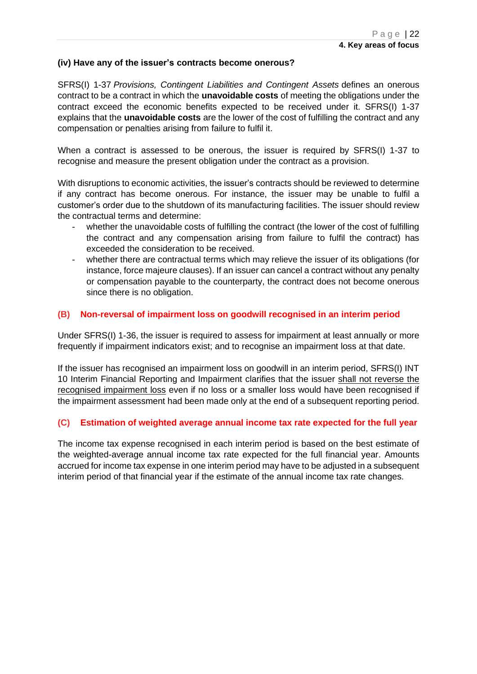#### **(iv) Have any of the issuer's contracts become onerous?**

SFRS(I) 1-37 *Provisions, Contingent Liabilities and Contingent Assets* defines an onerous contract to be a contract in which the **unavoidable costs** of meeting the obligations under the contract exceed the economic benefits expected to be received under it. SFRS(I) 1-37 explains that the **unavoidable costs** are the lower of the cost of fulfilling the contract and any compensation or penalties arising from failure to fulfil it.

When a contract is assessed to be onerous, the issuer is required by SFRS(I) 1-37 to recognise and measure the present obligation under the contract as a provision.

With disruptions to economic activities, the issuer's contracts should be reviewed to determine if any contract has become onerous. For instance, the issuer may be unable to fulfil a customer's order due to the shutdown of its manufacturing facilities. The issuer should review the contractual terms and determine:

- whether the unavoidable costs of fulfilling the contract (the lower of the cost of fulfilling the contract and any compensation arising from failure to fulfil the contract) has exceeded the consideration to be received.
- whether there are contractual terms which may relieve the issuer of its obligations (for instance, force majeure clauses). If an issuer can cancel a contract without any penalty or compensation payable to the counterparty, the contract does not become onerous since there is no obligation.

#### <span id="page-21-0"></span>**(B) Non-reversal of impairment loss on goodwill recognised in an interim period**

Under SFRS(I) 1-36, the issuer is required to assess for impairment at least annually or more frequently if impairment indicators exist; and to recognise an impairment loss at that date.

If the issuer has recognised an impairment loss on goodwill in an interim period, SFRS(I) INT 10 Interim Financial Reporting and Impairment clarifies that the issuer shall not reverse the recognised impairment loss even if no loss or a smaller loss would have been recognised if the impairment assessment had been made only at the end of a subsequent reporting period.

#### <span id="page-21-1"></span>**(C) Estimation of weighted average annual income tax rate expected for the full year**

The income tax expense recognised in each interim period is based on the best estimate of the weighted-average annual income tax rate expected for the full financial year. Amounts accrued for income tax expense in one interim period may have to be adjusted in a subsequent interim period of that financial year if the estimate of the annual income tax rate changes.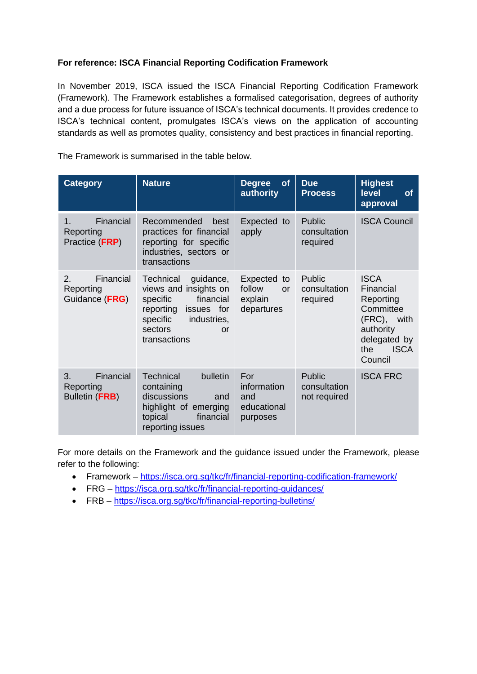#### **For reference: ISCA Financial Reporting Codification Framework**

In November 2019, ISCA issued the ISCA Financial Reporting Codification Framework (Framework). The Framework establishes a formalised categorisation, degrees of authority and a due process for future issuance of ISCA's technical documents. It provides credence to ISCA's technical content, promulgates ISCA's views on the application of accounting standards as well as promotes quality, consistency and best practices in financial reporting.

The Framework is summarised in the table below.

| <b>Category</b>                                       | <b>Nature</b>                                                                                                                                                   | of<br><b>Degree</b><br>authority                               | <b>Due</b><br><b>Process</b>                  | <b>Highest</b><br><b>level</b><br><b>of</b><br>approval                                                                            |
|-------------------------------------------------------|-----------------------------------------------------------------------------------------------------------------------------------------------------------------|----------------------------------------------------------------|-----------------------------------------------|------------------------------------------------------------------------------------------------------------------------------------|
| Financial<br>$1_{-}$<br>Reporting<br>Practice (FRP)   | Recommended<br>best<br>practices for financial<br>reporting for specific<br>industries, sectors or<br>transactions                                              | Expected to<br>apply                                           | Public<br>consultation<br>required            | <b>ISCA Council</b>                                                                                                                |
| Financial<br>2.<br>Reporting<br>Guidance (FRG)        | Technical<br>guidance,<br>views and insights on<br>financial<br>specific<br>reporting<br>issues for<br>specific<br>industries,<br>sectors<br>or<br>transactions | Expected<br>to<br>follow<br><b>or</b><br>explain<br>departures | Public<br>consultation<br>required            | <b>ISCA</b><br>Financial<br>Reporting<br>Committee<br>(FRC),<br>with<br>authority<br>delegated by<br><b>ISCA</b><br>the<br>Council |
| Financial<br>3.<br>Reporting<br><b>Bulletin (FRB)</b> | <b>Technical</b><br>bulletin<br>containing<br>discussions<br>and<br>highlight of emerging<br>topical<br>financial<br>reporting issues                           | For<br>information<br>and<br>educational<br>purposes           | <b>Public</b><br>consultation<br>not required | <b>ISCA FRC</b>                                                                                                                    |

For more details on the Framework and the guidance issued under the Framework, please refer to the following:

- Framework <https://isca.org.sg/tkc/fr/financial-reporting-codification-framework/>
- FRG <https://isca.org.sg/tkc/fr/financial-reporting-guidances/>
- FRB <https://isca.org.sg/tkc/fr/financial-reporting-bulletins/>